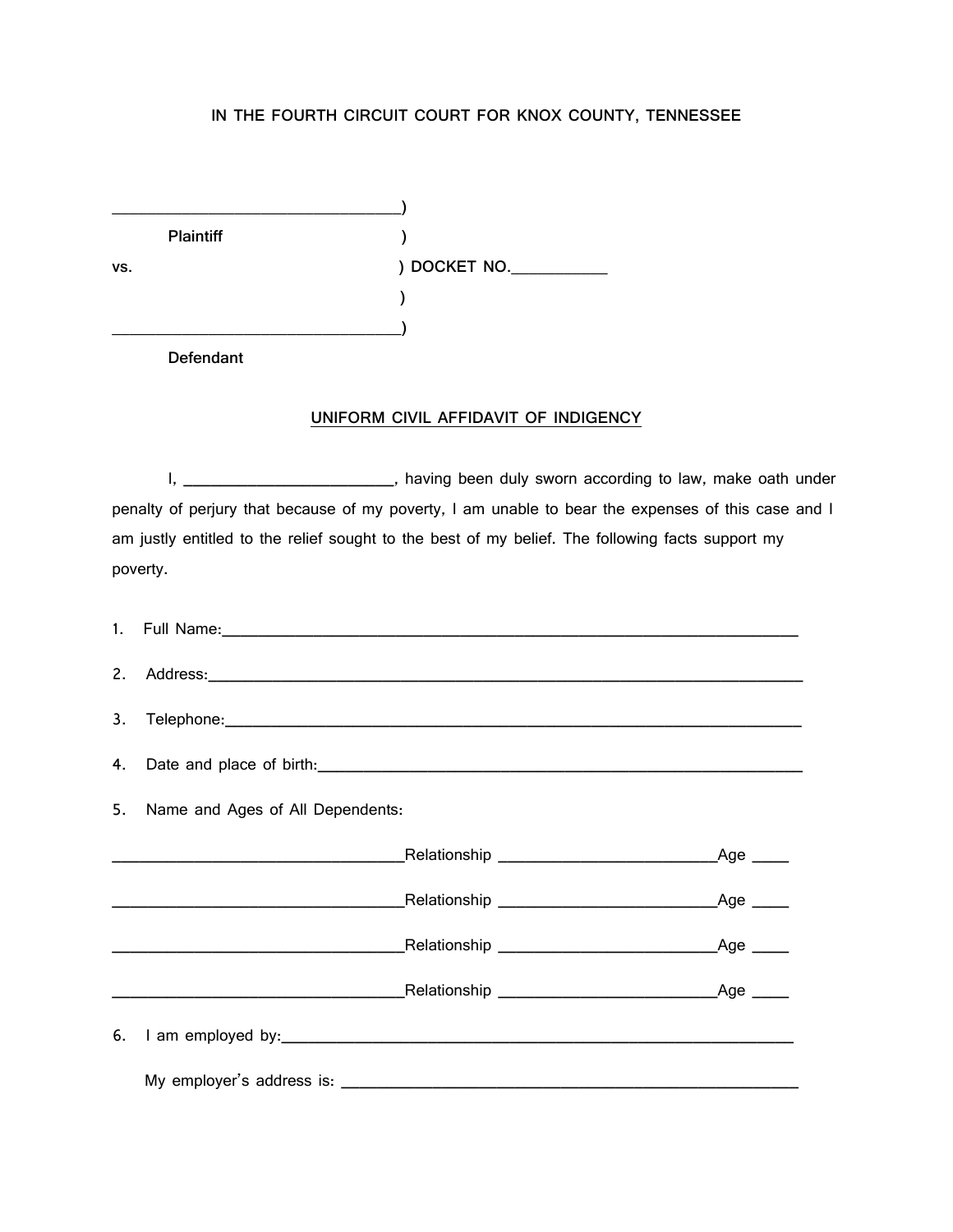## **IN THE FOURTH CIRCUIT COURT FOR KNOX COUNTY, TENNESSEE**

|     | <b>Plaintiff</b> |                                      |
|-----|------------------|--------------------------------------|
| VS. |                  | ) DOCKET NO.                         |
|     |                  |                                      |
|     |                  |                                      |
|     | <b>Defendant</b> |                                      |
|     |                  |                                      |
|     |                  | UNIFORM CIVIL AFFIDAVIT OF INDIGENCY |
|     |                  |                                      |

I, \_\_\_\_\_\_\_\_\_\_\_\_\_\_\_\_\_\_\_\_\_\_\_\_\_, having been duly sworn according to law, make oath under penalty of perjury that because of my poverty, I am unable to bear the expenses of this case and I am justly entitled to the relief sought to the best of my belief. The following facts support my poverty.

|                                     | 1. Full Name: 1. The contract of the contract of the contract of the contract of the contract of the contract of the contract of the contract of the contract of the contract of the contract of the contract of the contract |  |  |
|-------------------------------------|-------------------------------------------------------------------------------------------------------------------------------------------------------------------------------------------------------------------------------|--|--|
|                                     |                                                                                                                                                                                                                               |  |  |
|                                     |                                                                                                                                                                                                                               |  |  |
|                                     |                                                                                                                                                                                                                               |  |  |
| 5. Name and Ages of All Dependents: |                                                                                                                                                                                                                               |  |  |
|                                     |                                                                                                                                                                                                                               |  |  |
|                                     |                                                                                                                                                                                                                               |  |  |
|                                     |                                                                                                                                                                                                                               |  |  |
|                                     |                                                                                                                                                                                                                               |  |  |
|                                     |                                                                                                                                                                                                                               |  |  |
|                                     |                                                                                                                                                                                                                               |  |  |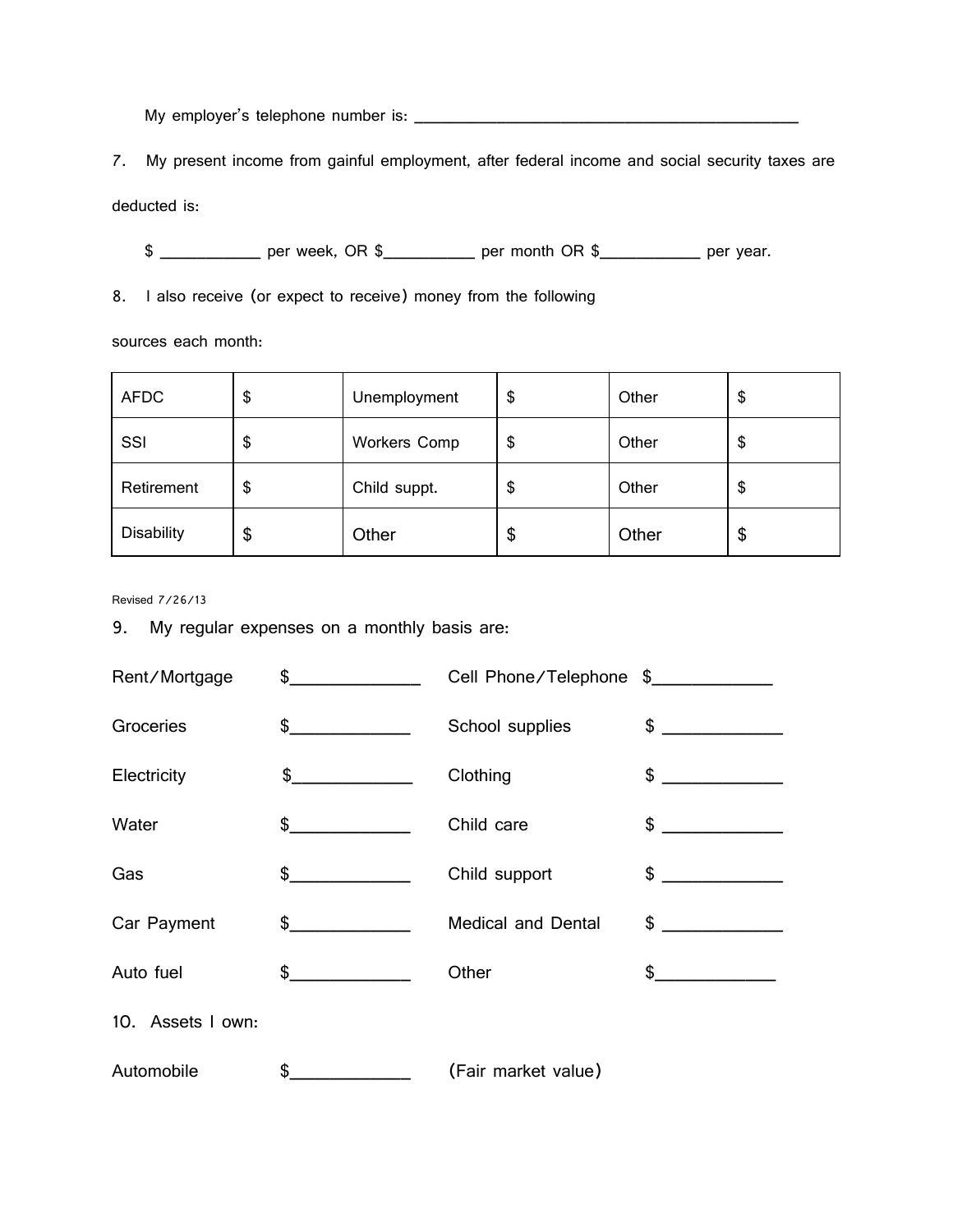My employer's telephone number is: \_\_\_\_\_\_\_\_\_\_\_\_\_\_\_\_\_\_\_\_\_\_\_\_\_\_\_\_\_\_\_\_\_\_\_\_\_\_\_\_\_\_

7. My present income from gainful employment, after federal income and social security taxes are

deducted is:

\$ \_\_\_\_\_\_\_\_\_\_\_\_ per week, OR \$\_\_\_\_\_\_\_\_\_ per month OR \$\_\_\_\_\_\_\_\_\_\_\_ per year.

8. I also receive (or expect to receive) money from the following

sources each month:

| <b>AFDC</b>       | \$<br>Unemployment        | \$     | Other | \$ |
|-------------------|---------------------------|--------|-------|----|
| SSI               | \$<br><b>Workers Comp</b> | ጦ<br>จ | Other | \$ |
| Retirement        | \$<br>Child suppt.        | จ      | Other | \$ |
| <b>Disability</b> | \$<br>Other               | \$     | Other | \$ |

Revised 7/26/13

9. My regular expenses on a monthly basis are:

| Rent/Mortgage     | $\sim$        | Cell Phone/Telephone \$____________ |                                      |
|-------------------|---------------|-------------------------------------|--------------------------------------|
| Groceries         | $\frac{1}{2}$ | School supplies                     | $\frac{1}{2}$                        |
| Electricity       | $\frac{1}{2}$ | Clothing                            | $\frac{1}{2}$                        |
| Water             | $\frac{1}{2}$ | Child care                          | $\frac{1}{2}$                        |
| Gas               | $\frac{1}{2}$ | Child support                       | $\frac{1}{2}$                        |
| Car Payment       | $\frac{1}{2}$ | <b>Medical and Dental</b>           | \$<br><u>and a strategic product</u> |
| Auto fuel         | $\frac{1}{2}$ | Other                               | $\sim$                               |
| 10. Assets I own: |               |                                     |                                      |
| Automobile        | \$            | (Fair market value)                 |                                      |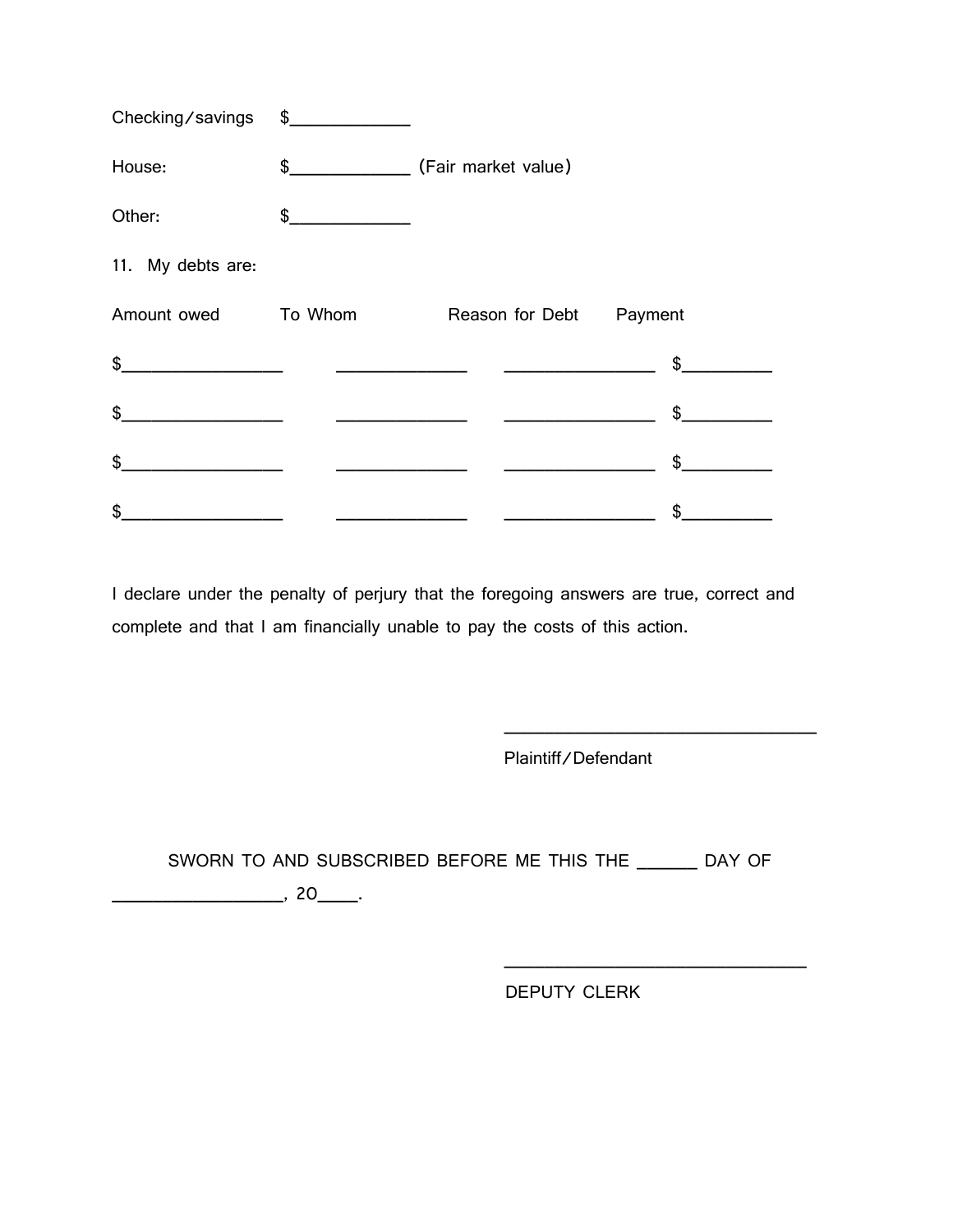| Checking/savings    | $\frac{1}{2}$ |                                                                 |               |
|---------------------|---------------|-----------------------------------------------------------------|---------------|
| House:              |               |                                                                 |               |
| Other:              | $\frac{1}{2}$ |                                                                 |               |
| 11. My debts are:   |               |                                                                 |               |
| Amount owed To Whom |               | Reason for Debt Payment                                         |               |
| \$                  |               | <u> 5 September - Johann Stein, amerikansk politik (* 1958)</u> |               |
| \$                  |               |                                                                 | $\mathsf{\$}$ |
| \$                  |               |                                                                 | $\frac{1}{2}$ |
| \$                  |               |                                                                 | \$            |

I declare under the penalty of perjury that the foregoing answers are true, correct and complete and that I am financially unable to pay the costs of this action.

Plaintiff/Defendant

\_\_\_\_\_\_\_\_\_\_\_\_\_\_\_\_\_\_\_\_\_\_\_\_\_\_\_\_\_\_\_

SWORN TO AND SUBSCRIBED BEFORE ME THIS THE \_\_\_\_\_\_ DAY OF

\_\_\_\_\_\_\_\_\_\_\_\_\_\_\_\_\_, 20\_\_\_\_.

DEPUTY CLERK

 $\overline{\phantom{a}}$  ,  $\overline{\phantom{a}}$  ,  $\overline{\phantom{a}}$  ,  $\overline{\phantom{a}}$  ,  $\overline{\phantom{a}}$  ,  $\overline{\phantom{a}}$  ,  $\overline{\phantom{a}}$  ,  $\overline{\phantom{a}}$  ,  $\overline{\phantom{a}}$  ,  $\overline{\phantom{a}}$  ,  $\overline{\phantom{a}}$  ,  $\overline{\phantom{a}}$  ,  $\overline{\phantom{a}}$  ,  $\overline{\phantom{a}}$  ,  $\overline{\phantom{a}}$  ,  $\overline{\phantom{a}}$